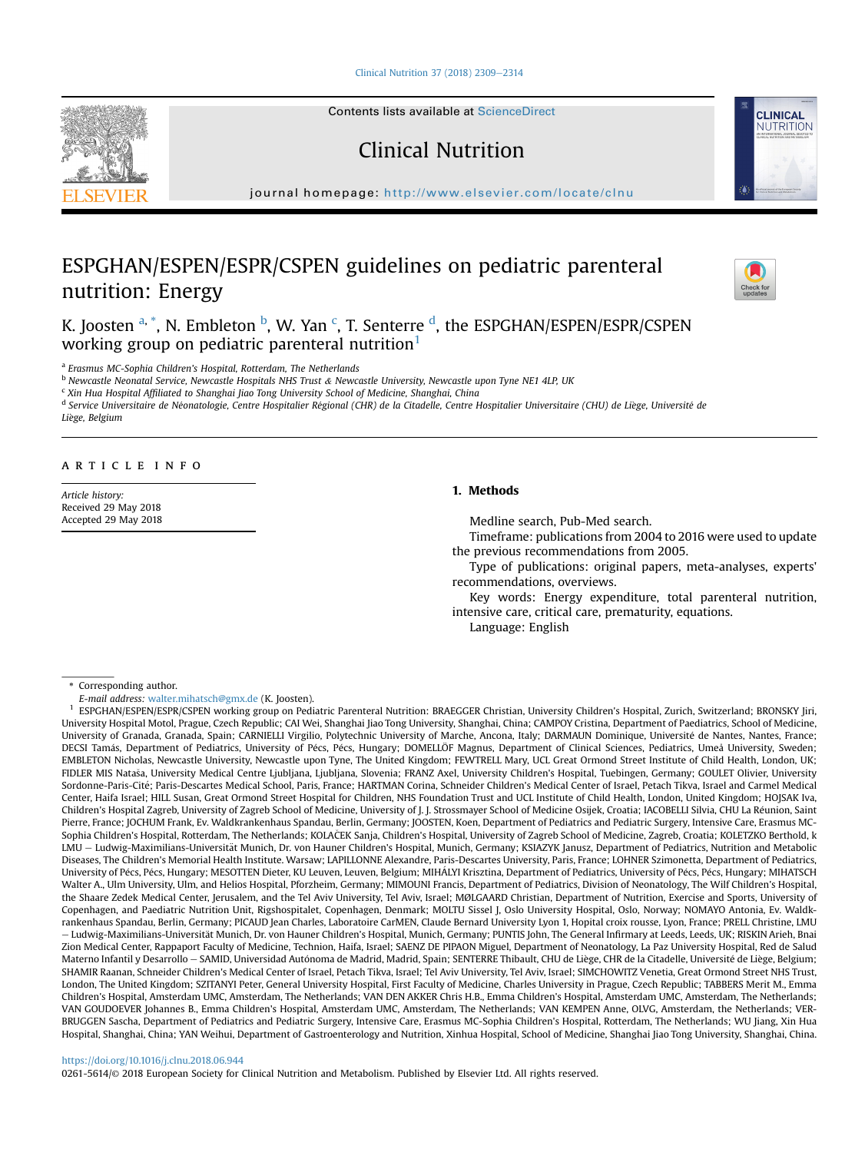[Clinical Nutrition 37 \(2018\) 2309](https://doi.org/10.1016/j.clnu.2018.06.944)-[2314](https://doi.org/10.1016/j.clnu.2018.06.944)



Contents lists available at ScienceDirect

# Clinical Nutrition

journal homepage: <http://www.elsevier.com/locate/clnu>

# ESPGHAN/ESPEN/ESPR/CSPEN guidelines on pediatric parenteral nutrition: Energy



**CLINICAL** NUTRITION

K. Joosten <sup>a, \*</sup>, N. Embleton <sup>b</sup>, W. Yan <sup>c</sup>, T. Senterre <sup>d</sup>, the ESPGHAN/ESPEN/ESPR/CSPEN working group on pediatric parenteral nutrition<sup>1</sup>

a Erasmus MC-Sophia Children's Hospital, Rotterdam, The Netherlands

<sup>b</sup> Newcastle Neonatal Service, Newcastle Hospitals NHS Trust & Newcastle University, Newcastle upon Tyne NE1 4LP, UK

<sup>c</sup> Xin Hua Hospital Affiliated to Shanghai Jiao Tong University School of Medicine, Shanghai, China

d Service Universitaire de Néonatologie, Centre Hospitalier Régional (CHR) de la Citadelle, Centre Hospitalier Universitaire (CHU) de Liège, Université de Liege, Belgium

# article info

Article history: Received 29 May 2018 Accepted 29 May 2018

# 1. Methods

Medline search, Pub-Med search.

Timeframe: publications from 2004 to 2016 were used to update the previous recommendations from 2005.

Type of publications: original papers, meta-analyses, experts' recommendations, overviews.

Key words: Energy expenditure, total parenteral nutrition, intensive care, critical care, prematurity, equations.

Language: English

\* Corresponding author.

E-mail address: [walter.mihatsch@gmx.de](mailto:walter.mihatsch@gmx.de) (K. Joosten).

<sup>1</sup> ESPGHAN/ESPEN/ESPR/CSPEN working group on Pediatric Parenteral Nutrition: BRAEGGER Christian, University Children's Hospital, Zurich, Switzerland; BRONSKY Jiri, University Hospital Motol, Prague, Czech Republic; CAI Wei, Shanghai Jiao Tong University, Shanghai, China; CAMPOY Cristina, Department of Paediatrics, School of Medicine, University of Granada, Granada, Spain; CARNIELLI Virgilio, Polytechnic University of Marche, Ancona, Italy; DARMAUN Dominique, Universite de Nantes, Nantes, France; DECSI Tamás, Department of Pediatrics, University of Pécs, Pécs, Hungary; DOMELLÖF Magnus, Department of Clinical Sciences, Pediatrics, Umeå University, Sweden; EMBLETON Nicholas, Newcastle University, Newcastle upon Tyne, The United Kingdom; FEWTRELL Mary, UCL Great Ormond Street Institute of Child Health, London, UK; FIDLER MIS Natasa, University Medical Centre Ljubljana, Ljubljana, Slovenia; FRANZ Axel, University Children's Hospital, Tuebingen, Germany; GOULET Olivier, University Sordonne-Paris-Cité; Paris-Descartes Medical School, Paris, France; HARTMAN Corina, Schneider Children's Medical Center of Israel, Petach Tikva, Israel and Carmel Medical Center, Haifa Israel; HILL Susan, Great Ormond Street Hospital for Children, NHS Foundation Trust and UCL Institute of Child Health, London, United Kingdom; HOJSAK Iva, Children's Hospital Zagreb, University of Zagreb School of Medicine, University of J. J. Strossmayer School of Medicine Osijek, Croatia; IACOBELLI Silvia, CHU La Reunion, Saint Pierre, France; JOCHUM Frank, Ev. Waldkrankenhaus Spandau, Berlin, Germany; JOOSTEN, Koen, Department of Pediatrics and Pediatric Surgery, Intensive Care, Erasmus MC-Sophia Children's Hospital, Rotterdam, The Netherlands; KOLAČEK Sanja, Children's Hospital, University of Zagreb School of Medicine, Zagreb, Croatia; KOLETZKO Berthold, k LMU - Ludwig-Maximilians-Universität Munich, Dr. von Hauner Children's Hospital, Munich, Germany; KSIAZYK Janusz, Department of Pediatrics, Nutrition and Metabolic Diseases, The Children's Memorial Health Institute. Warsaw; LAPILLONNE Alexandre, Paris-Descartes University, Paris, France; LOHNER Szimonetta, Department of Pediatrics, University of Pécs, Pécs, Hungary; MESOTTEN Dieter, KU Leuven, Leuven, Belgium; MIHÁLYI Krisztina, Department of Pediatrics, University of Pécs, Pécs, Hungary; MIHATSCH Walter A., Ulm University, Ulm, and Helios Hospital, Pforzheim, Germany; MIMOUNI Francis, Department of Pediatrics, Division of Neonatology, The Wilf Children's Hospital, the Shaare Zedek Medical Center, Jerusalem, and the Tel Aviv University, Tel Aviv, Israel; MØLGAARD Christian, Department of Nutrition, Exercise and Sports, University of Copenhagen, and Paediatric Nutrition Unit, Rigshospitalet, Copenhagen, Denmark; MOLTU Sissel J, Oslo University Hospital, Oslo, Norway; NOMAYO Antonia, Ev. Waldkrankenhaus Spandau, Berlin, Germany; PICAUD Jean Charles, Laboratoire CarMEN, Claude Bernard University Lyon 1, Hopital croix rousse, Lyon, France; PRELL Christine, LMU – Ludwig-Maximilians-Universität Munich, Dr. von Hauner Children's Hospital, Munich, Germany; PUNTIS John, The General Infirmary at Leeds, Leeds, UK; RISKIN Arieh, Bnai Zion Medical Center, Rappaport Faculty of Medicine, Technion, Haifa, Israel; SAENZ DE PIPAON Miguel, Department of Neonatology, La Paz University Hospital, Red de Salud Materno Infantil y Desarrollo - SAMID, Universidad Autónoma de Madrid, Madrid, Spain; SENTERRE Thibault, CHU de Liège, CHR de la Citadelle, Université de Liège, Belgium; SHAMIR Raanan, Schneider Children's Medical Center of Israel, Petach Tikva, Israel; Tel Aviv University, Tel Aviv, Israel; SIMCHOWITZ Venetia, Great Ormond Street NHS Trust, London, The United Kingdom; SZITANYI Peter, General University Hospital, First Faculty of Medicine, Charles University in Prague, Czech Republic; TABBERS Merit M., Emma Children's Hospital, Amsterdam UMC, Amsterdam, The Netherlands; VAN DEN AKKER Chris H.B., Emma Children's Hospital, Amsterdam UMC, Amsterdam, The Netherlands; VAN GOUDOEVER Johannes B., Emma Children's Hospital, Amsterdam UMC, Amsterdam, The Netherlands; VAN KEMPEN Anne, OLVG, Amsterdam, the Netherlands; VER-BRUGGEN Sascha, Department of Pediatrics and Pediatric Surgery, Intensive Care, Erasmus MC-Sophia Children's Hospital, Rotterdam, The Netherlands; WU Jiang, Xin Hua Hospital, Shanghai, China; YAN Weihui, Department of Gastroenterology and Nutrition, Xinhua Hospital, School of Medicine, Shanghai Jiao Tong University, Shanghai, China.

## <https://doi.org/10.1016/j.clnu.2018.06.944>

0261-5614/© 2018 European Society for Clinical Nutrition and Metabolism. Published by Elsevier Ltd. All rights reserved.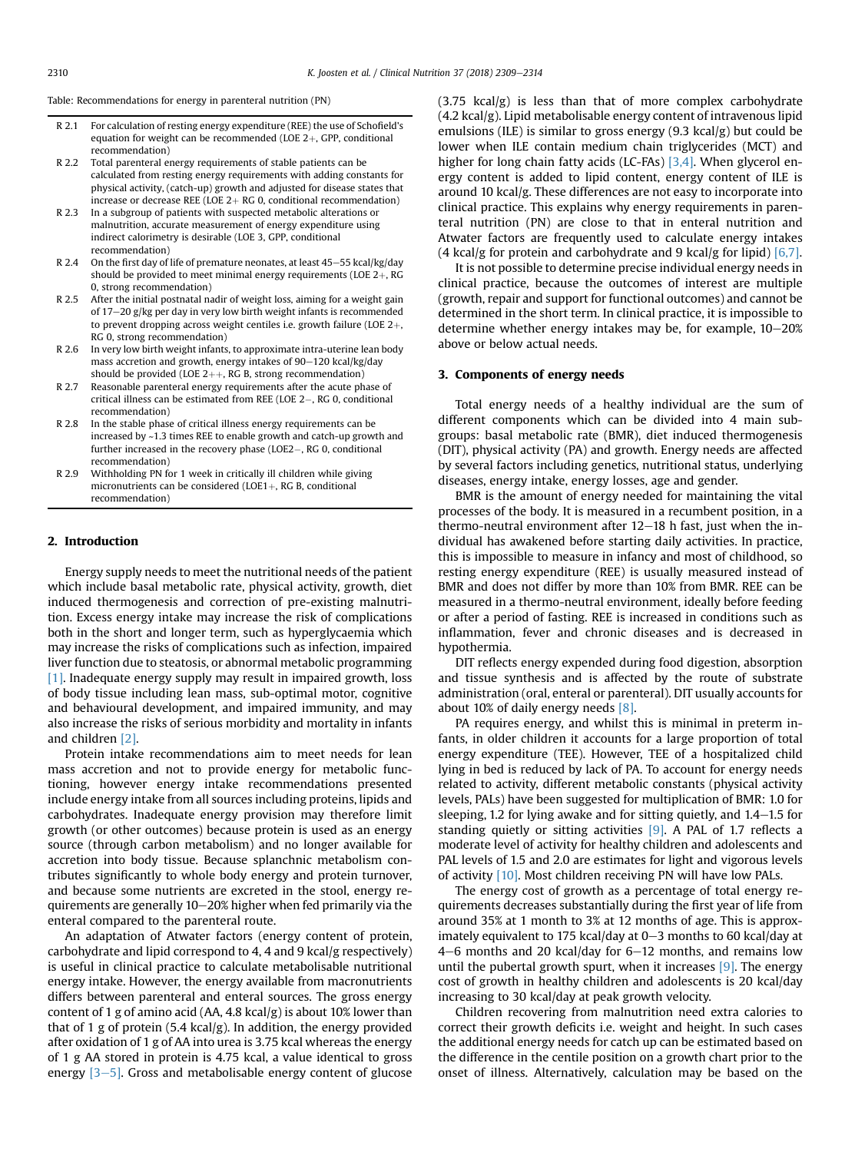Table: Recommendations for energy in parenteral nutrition (PN)

- R 2.1 For calculation of resting energy expenditure (REE) the use of Schofield's equation for weight can be recommended (LOE  $2+$ , GPP, conditional recommendation)
- R 2.2 Total parenteral energy requirements of stable patients can be calculated from resting energy requirements with adding constants for physical activity, (catch-up) growth and adjusted for disease states that increase or decrease REE (LOE  $2+$  RG 0, conditional recommendation)
- R 2.3 In a subgroup of patients with suspected metabolic alterations or malnutrition, accurate measurement of energy expenditure using indirect calorimetry is desirable (LOE 3, GPP, conditional recommendation)
- $R$  2.4 On the first day of life of premature neonates, at least 45–55 kcal/kg/day should be provided to meet minimal energy requirements (LOE  $2+$ , RG 0, strong recommendation)
- R 2.5 After the initial postnatal nadir of weight loss, aiming for a weight gain of  $17-20$  g/kg per day in very low birth weight infants is recommended to prevent dropping across weight centiles i.e. growth failure (LOE  $2+$ , RG 0, strong recommendation)
- R 2.6 In very low birth weight infants, to approximate intra-uterine lean body mass accretion and growth, energy intakes of  $90-120$  kcal/kg/day should be provided (LOE  $2++$ , RG B, strong recommendation)
- R 2.7 Reasonable parenteral energy requirements after the acute phase of critical illness can be estimated from REE (LOE 2-, RG 0, conditional recommendation)
- R 2.8 In the stable phase of critical illness energy requirements can be increased by ~1.3 times REE to enable growth and catch-up growth and further increased in the recovery phase (LOE2-, RG 0, conditional recommendation)
- R 2.9 Withholding PN for 1 week in critically ill children while giving micronutrients can be considered (LOE1+, RG B, conditional recommendation)

## 2. Introduction

Energy supply needs to meet the nutritional needs of the patient which include basal metabolic rate, physical activity, growth, diet induced thermogenesis and correction of pre-existing malnutrition. Excess energy intake may increase the risk of complications both in the short and longer term, such as hyperglycaemia which may increase the risks of complications such as infection, impaired liver function due to steatosis, or abnormal metabolic programming [\[1\]](#page-4-0). Inadequate energy supply may result in impaired growth, loss of body tissue including lean mass, sub-optimal motor, cognitive and behavioural development, and impaired immunity, and may also increase the risks of serious morbidity and mortality in infants and children [\[2\].](#page-4-0)

Protein intake recommendations aim to meet needs for lean mass accretion and not to provide energy for metabolic functioning, however energy intake recommendations presented include energy intake from all sources including proteins, lipids and carbohydrates. Inadequate energy provision may therefore limit growth (or other outcomes) because protein is used as an energy source (through carbon metabolism) and no longer available for accretion into body tissue. Because splanchnic metabolism contributes significantly to whole body energy and protein turnover, and because some nutrients are excreted in the stool, energy requirements are generally  $10-20\%$  higher when fed primarily via the enteral compared to the parenteral route.

An adaptation of Atwater factors (energy content of protein, carbohydrate and lipid correspond to 4, 4 and 9 kcal/g respectively) is useful in clinical practice to calculate metabolisable nutritional energy intake. However, the energy available from macronutrients differs between parenteral and enteral sources. The gross energy content of 1 g of amino acid (AA, 4.8 kcal/g) is about 10% lower than that of 1 g of protein (5.4 kcal/g). In addition, the energy provided after oxidation of 1 g of AA into urea is 3.75 kcal whereas the energy of 1 g AA stored in protein is 4.75 kcal, a value identical to gross energy  $[3-5]$  $[3-5]$  $[3-5]$ . Gross and metabolisable energy content of glucose (3.75 kcal/g) is less than that of more complex carbohydrate (4.2 kcal/g). Lipid metabolisable energy content of intravenous lipid emulsions (ILE) is similar to gross energy (9.3 kcal/g) but could be lower when ILE contain medium chain triglycerides (MCT) and higher for long chain fatty acids (LC-FAs) [\[3,4\].](#page-4-0) When glycerol energy content is added to lipid content, energy content of ILE is around 10 kcal/g. These differences are not easy to incorporate into clinical practice. This explains why energy requirements in parenteral nutrition (PN) are close to that in enteral nutrition and Atwater factors are frequently used to calculate energy intakes (4 kcal/g for protein and carbohydrate and 9 kcal/g for lipid)  $[6,7]$ .

It is not possible to determine precise individual energy needs in clinical practice, because the outcomes of interest are multiple (growth, repair and support for functional outcomes) and cannot be determined in the short term. In clinical practice, it is impossible to determine whether energy intakes may be, for example,  $10-20%$ above or below actual needs.

## 3. Components of energy needs

Total energy needs of a healthy individual are the sum of different components which can be divided into 4 main subgroups: basal metabolic rate (BMR), diet induced thermogenesis (DIT), physical activity (PA) and growth. Energy needs are affected by several factors including genetics, nutritional status, underlying diseases, energy intake, energy losses, age and gender.

BMR is the amount of energy needed for maintaining the vital processes of the body. It is measured in a recumbent position, in a thermo-neutral environment after  $12-18$  h fast, just when the individual has awakened before starting daily activities. In practice, this is impossible to measure in infancy and most of childhood, so resting energy expenditure (REE) is usually measured instead of BMR and does not differ by more than 10% from BMR. REE can be measured in a thermo-neutral environment, ideally before feeding or after a period of fasting. REE is increased in conditions such as inflammation, fever and chronic diseases and is decreased in hypothermia.

DIT reflects energy expended during food digestion, absorption and tissue synthesis and is affected by the route of substrate administration (oral, enteral or parenteral). DIT usually accounts for about 10% of daily energy needs  $[8]$ .

PA requires energy, and whilst this is minimal in preterm infants, in older children it accounts for a large proportion of total energy expenditure (TEE). However, TEE of a hospitalized child lying in bed is reduced by lack of PA. To account for energy needs related to activity, different metabolic constants (physical activity levels, PALs) have been suggested for multiplication of BMR: 1.0 for sleeping, 1.2 for lying awake and for sitting quietly, and  $1.4-1.5$  for standing quietly or sitting activities  $[9]$ . A PAL of 1.7 reflects a moderate level of activity for healthy children and adolescents and PAL levels of 1.5 and 2.0 are estimates for light and vigorous levels of activity [\[10\].](#page-4-0) Most children receiving PN will have low PALs.

The energy cost of growth as a percentage of total energy requirements decreases substantially during the first year of life from around 35% at 1 month to 3% at 12 months of age. This is approximately equivalent to 175 kcal/day at  $0-3$  months to 60 kcal/day at  $4-6$  months and 20 kcal/day for  $6-12$  months, and remains low until the pubertal growth spurt, when it increases  $[9]$ . The energy cost of growth in healthy children and adolescents is 20 kcal/day increasing to 30 kcal/day at peak growth velocity.

Children recovering from malnutrition need extra calories to correct their growth deficits i.e. weight and height. In such cases the additional energy needs for catch up can be estimated based on the difference in the centile position on a growth chart prior to the onset of illness. Alternatively, calculation may be based on the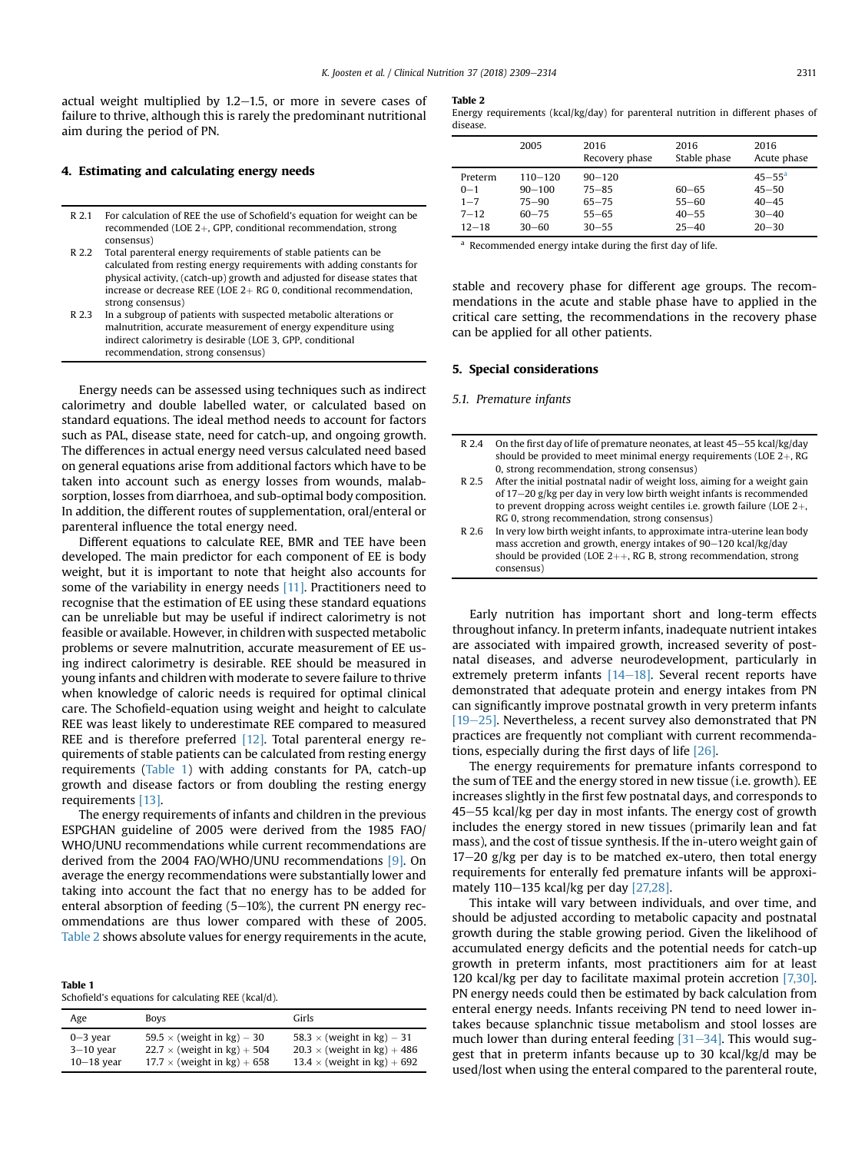actual weight multiplied by  $1.2-1.5$ , or more in severe cases of failure to thrive, although this is rarely the predominant nutritional aim during the period of PN.

# 4. Estimating and calculating energy needs

- R 2.1 For calculation of REE the use of Schofield's equation for weight can be recommended (LOE  $2+$ , GPP, conditional recommendation, strong consensus)
- R 2.2 Total parenteral energy requirements of stable patients can be calculated from resting energy requirements with adding constants for physical activity, (catch-up) growth and adjusted for disease states that increase or decrease REE (LOE  $2+$  RG 0, conditional recommendation, strong consensus)
- R 2.3 In a subgroup of patients with suspected metabolic alterations or malnutrition, accurate measurement of energy expenditure using indirect calorimetry is desirable (LOE 3, GPP, conditional recommendation, strong consensus)

Energy needs can be assessed using techniques such as indirect calorimetry and double labelled water, or calculated based on standard equations. The ideal method needs to account for factors such as PAL, disease state, need for catch-up, and ongoing growth. The differences in actual energy need versus calculated need based on general equations arise from additional factors which have to be taken into account such as energy losses from wounds, malabsorption, losses from diarrhoea, and sub-optimal body composition. In addition, the different routes of supplementation, oral/enteral or parenteral influence the total energy need.

Different equations to calculate REE, BMR and TEE have been developed. The main predictor for each component of EE is body weight, but it is important to note that height also accounts for some of the variability in energy needs [\[11\].](#page-4-0) Practitioners need to recognise that the estimation of EE using these standard equations can be unreliable but may be useful if indirect calorimetry is not feasible or available. However, in children with suspected metabolic problems or severe malnutrition, accurate measurement of EE using indirect calorimetry is desirable. REE should be measured in young infants and children with moderate to severe failure to thrive when knowledge of caloric needs is required for optimal clinical care. The Schofield-equation using weight and height to calculate REE was least likely to underestimate REE compared to measured REE and is therefore preferred  $[12]$ . Total parenteral energy requirements of stable patients can be calculated from resting energy requirements (Table 1) with adding constants for PA, catch-up growth and disease factors or from doubling the resting energy requirements [\[13\].](#page-4-0)

The energy requirements of infants and children in the previous ESPGHAN guideline of 2005 were derived from the 1985 FAO/ WHO/UNU recommendations while current recommendations are derived from the 2004 FAO/WHO/UNU recommendations [\[9\].](#page-4-0) On average the energy recommendations were substantially lower and taking into account the fact that no energy has to be added for enteral absorption of feeding  $(5-10%)$ , the current PN energy recommendations are thus lower compared with these of 2005. Table 2 shows absolute values for energy requirements in the acute,

| Table 1                                             |  |  |  |
|-----------------------------------------------------|--|--|--|
| Schofield's equations for calculating REE (kcal/d). |  |  |  |

| Age          | <b>Boys</b>                        | Girls                              |
|--------------|------------------------------------|------------------------------------|
| $0 - 3$ year | 59.5 $\times$ (weight in kg) – 30  | 58.3 $\times$ (weight in kg) – 31  |
| $3-10$ year  | $22.7 \times$ (weight in kg) + 504 | $20.3 \times$ (weight in kg) + 486 |
| $10-18$ year | $17.7 \times$ (weight in kg) + 658 | 13.4 $\times$ (weight in kg) + 692 |

#### Table 2

|          | Energy requirements (kcal/kg/day) for parenteral nutrition in different phases of |  |  |  |  |
|----------|-----------------------------------------------------------------------------------|--|--|--|--|
| disease. |                                                                                   |  |  |  |  |

|                                                        | 2005                                                             | 2016<br>Recovery phase                                         | 2016<br>Stable phase                             | 2016<br>Acute phase                                                   |
|--------------------------------------------------------|------------------------------------------------------------------|----------------------------------------------------------------|--------------------------------------------------|-----------------------------------------------------------------------|
| Preterm<br>$0 - 1$<br>$1 - 7$<br>$7 - 12$<br>$12 - 18$ | $110 - 120$<br>$90 - 100$<br>$75 - 90$<br>$60 - 75$<br>$30 - 60$ | $90 - 120$<br>$75 - 85$<br>$65 - 75$<br>$55 - 65$<br>$30 - 55$ | $60 - 65$<br>$55 - 60$<br>$40 - 55$<br>$25 - 40$ | $45 - 55^{\circ}$<br>$45 - 50$<br>$40 - 45$<br>$30 - 40$<br>$20 - 30$ |

<sup>a</sup> Recommended energy intake during the first day of life.

stable and recovery phase for different age groups. The recommendations in the acute and stable phase have to applied in the critical care setting, the recommendations in the recovery phase can be applied for all other patients.

# 5. Special considerations

# 5.1. Premature infants

| R 2.4 | On the first day of life of premature neonates, at least 45–55 kcal/kg/day<br>should be provided to meet minimal energy requirements (LOE $2+$ , RG |
|-------|-----------------------------------------------------------------------------------------------------------------------------------------------------|
|       | 0, strong recommendation, strong consensus)                                                                                                         |
| R 2.5 | After the initial postnatal nadir of weight loss, aiming for a weight gain                                                                          |
|       | of 17–20 g/kg per day in very low birth weight infants is recommended                                                                               |
|       | to prevent dropping across weight centiles i.e. growth failure (LOE $2+$ ,                                                                          |
|       | RG 0, strong recommendation, strong consensus)                                                                                                      |
| R 2.6 | In very low birth weight infants, to approximate intra-uterine lean body                                                                            |
|       | mass accretion and growth, energy intakes of 90–120 kcal/kg/day                                                                                     |
|       | should be provided (LOE $2++$ , RG B, strong recommendation, strong                                                                                 |
|       | consensus)                                                                                                                                          |

Early nutrition has important short and long-term effects throughout infancy. In preterm infants, inadequate nutrient intakes are associated with impaired growth, increased severity of postnatal diseases, and adverse neurodevelopment, particularly in extremely preterm infants  $[14-18]$  $[14-18]$  $[14-18]$ . Several recent reports have demonstrated that adequate protein and energy intakes from PN can significantly improve postnatal growth in very preterm infants  $[19–25]$  $[19–25]$  $[19–25]$ . Nevertheless, a recent survey also demonstrated that PN practices are frequently not compliant with current recommendations, especially during the first days of life [\[26\]](#page-4-0).

The energy requirements for premature infants correspond to the sum of TEE and the energy stored in new tissue (i.e. growth). EE increases slightly in the first few postnatal days, and corresponds to  $45-55$  kcal/kg per day in most infants. The energy cost of growth includes the energy stored in new tissues (primarily lean and fat mass), and the cost of tissue synthesis. If the in-utero weight gain of  $17-20$  g/kg per day is to be matched ex-utero, then total energy requirements for enterally fed premature infants will be approxi-mately 110-135 kcal/kg per day [\[27,28\]](#page-4-0).

This intake will vary between individuals, and over time, and should be adjusted according to metabolic capacity and postnatal growth during the stable growing period. Given the likelihood of accumulated energy deficits and the potential needs for catch-up growth in preterm infants, most practitioners aim for at least 120 kcal/kg per day to facilitate maximal protein accretion [\[7,30\].](#page-4-0) PN energy needs could then be estimated by back calculation from enteral energy needs. Infants receiving PN tend to need lower intakes because splanchnic tissue metabolism and stool losses are much lower than during enteral feeding  $[31-34]$  $[31-34]$  $[31-34]$ . This would suggest that in preterm infants because up to 30 kcal/kg/d may be used/lost when using the enteral compared to the parenteral route,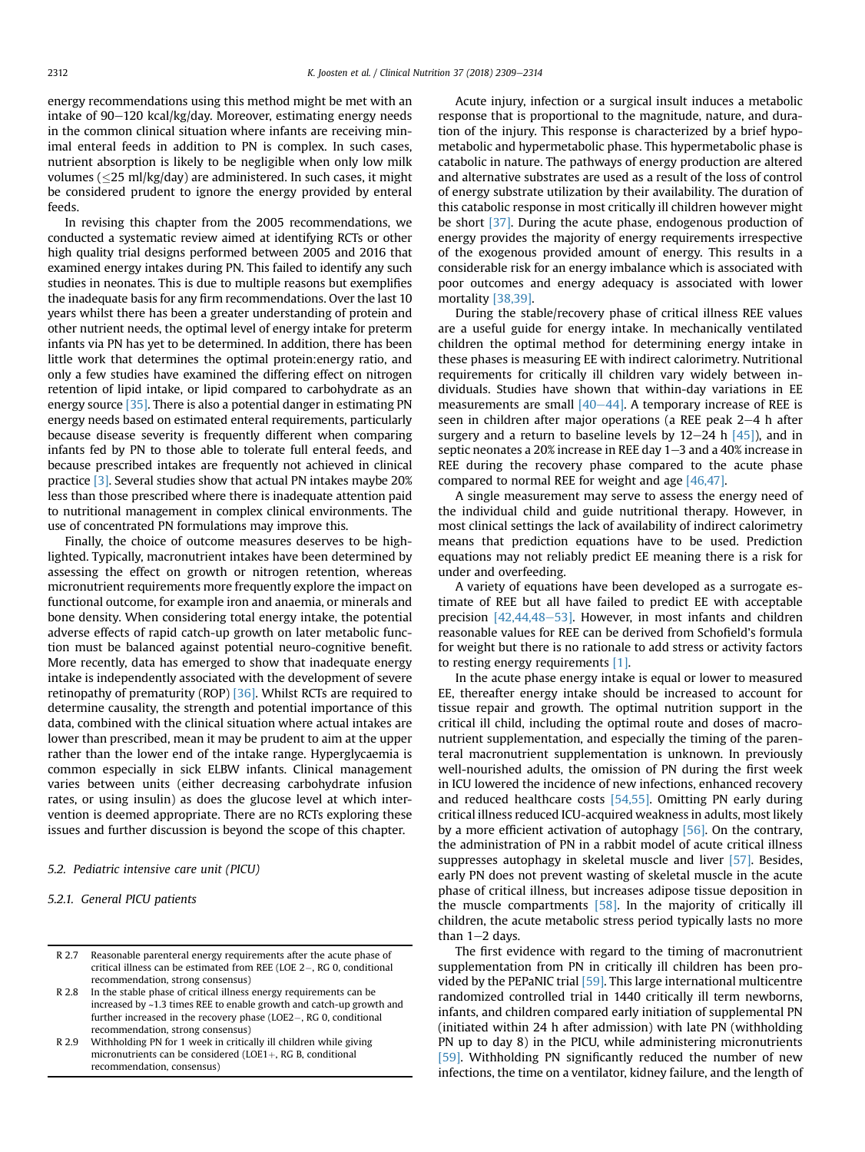energy recommendations using this method might be met with an intake of 90-120 kcal/kg/day. Moreover, estimating energy needs in the common clinical situation where infants are receiving minimal enteral feeds in addition to PN is complex. In such cases, nutrient absorption is likely to be negligible when only low milk volumes ( $\leq$ 25 ml/kg/day) are administered. In such cases, it might be considered prudent to ignore the energy provided by enteral feeds.

In revising this chapter from the 2005 recommendations, we conducted a systematic review aimed at identifying RCTs or other high quality trial designs performed between 2005 and 2016 that examined energy intakes during PN. This failed to identify any such studies in neonates. This is due to multiple reasons but exemplifies the inadequate basis for any firm recommendations. Over the last 10 years whilst there has been a greater understanding of protein and other nutrient needs, the optimal level of energy intake for preterm infants via PN has yet to be determined. In addition, there has been little work that determines the optimal protein:energy ratio, and only a few studies have examined the differing effect on nitrogen retention of lipid intake, or lipid compared to carbohydrate as an energy source [\[35\].](#page-5-0) There is also a potential danger in estimating PN energy needs based on estimated enteral requirements, particularly because disease severity is frequently different when comparing infants fed by PN to those able to tolerate full enteral feeds, and because prescribed intakes are frequently not achieved in clinical practice [\[3\].](#page-4-0) Several studies show that actual PN intakes maybe 20% less than those prescribed where there is inadequate attention paid to nutritional management in complex clinical environments. The use of concentrated PN formulations may improve this.

Finally, the choice of outcome measures deserves to be highlighted. Typically, macronutrient intakes have been determined by assessing the effect on growth or nitrogen retention, whereas micronutrient requirements more frequently explore the impact on functional outcome, for example iron and anaemia, or minerals and bone density. When considering total energy intake, the potential adverse effects of rapid catch-up growth on later metabolic function must be balanced against potential neuro-cognitive benefit. More recently, data has emerged to show that inadequate energy intake is independently associated with the development of severe retinopathy of prematurity (ROP) [\[36\].](#page-5-0) Whilst RCTs are required to determine causality, the strength and potential importance of this data, combined with the clinical situation where actual intakes are lower than prescribed, mean it may be prudent to aim at the upper rather than the lower end of the intake range. Hyperglycaemia is common especially in sick ELBW infants. Clinical management varies between units (either decreasing carbohydrate infusion rates, or using insulin) as does the glucose level at which intervention is deemed appropriate. There are no RCTs exploring these issues and further discussion is beyond the scope of this chapter.

### 5.2. Pediatric intensive care unit (PICU)

```
5.2.1. General PICU patients
```
- R 2.8 In the stable phase of critical illness energy requirements can be increased by ~1.3 times REE to enable growth and catch-up growth and further increased in the recovery phase (LOE2-, RG 0, conditional recommendation, strong consensus)
- R 2.9 Withholding PN for 1 week in critically ill children while giving micronutrients can be considered (LOE1+, RG B, conditional recommendation, consensus)

Acute injury, infection or a surgical insult induces a metabolic response that is proportional to the magnitude, nature, and duration of the injury. This response is characterized by a brief hypometabolic and hypermetabolic phase. This hypermetabolic phase is catabolic in nature. The pathways of energy production are altered and alternative substrates are used as a result of the loss of control of energy substrate utilization by their availability. The duration of this catabolic response in most critically ill children however might be short [\[37\].](#page-5-0) During the acute phase, endogenous production of energy provides the majority of energy requirements irrespective of the exogenous provided amount of energy. This results in a considerable risk for an energy imbalance which is associated with poor outcomes and energy adequacy is associated with lower mortality [\[38,39\]](#page-5-0).

During the stable/recovery phase of critical illness REE values are a useful guide for energy intake. In mechanically ventilated children the optimal method for determining energy intake in these phases is measuring EE with indirect calorimetry. Nutritional requirements for critically ill children vary widely between individuals. Studies have shown that within-day variations in EE measurements are small  $[40-44]$  $[40-44]$ . A temporary increase of REE is seen in children after major operations (a REE peak  $2-4$  h after surgery and a return to baseline levels by  $12-24$  h  $[45]$ ), and in septic neonates a 20% increase in REE day  $1-3$  and a 40% increase in REE during the recovery phase compared to the acute phase compared to normal REE for weight and age [\[46,47\]](#page-5-0).

A single measurement may serve to assess the energy need of the individual child and guide nutritional therapy. However, in most clinical settings the lack of availability of indirect calorimetry means that prediction equations have to be used. Prediction equations may not reliably predict EE meaning there is a risk for under and overfeeding.

A variety of equations have been developed as a surrogate estimate of REE but all have failed to predict EE with acceptable precision  $[42, 44, 48-53]$  $[42, 44, 48-53]$ . However, in most infants and children reasonable values for REE can be derived from Schofield's formula for weight but there is no rationale to add stress or activity factors to resting energy requirements [\[1\].](#page-4-0)

In the acute phase energy intake is equal or lower to measured EE, thereafter energy intake should be increased to account for tissue repair and growth. The optimal nutrition support in the critical ill child, including the optimal route and doses of macronutrient supplementation, and especially the timing of the parenteral macronutrient supplementation is unknown. In previously well-nourished adults, the omission of PN during the first week in ICU lowered the incidence of new infections, enhanced recovery and reduced healthcare costs [\[54,55\]](#page-5-0). Omitting PN early during critical illness reduced ICU-acquired weakness in adults, most likely by a more efficient activation of autophagy [\[56\].](#page-5-0) On the contrary, the administration of PN in a rabbit model of acute critical illness suppresses autophagy in skeletal muscle and liver [\[57\]](#page-5-0). Besides, early PN does not prevent wasting of skeletal muscle in the acute phase of critical illness, but increases adipose tissue deposition in the muscle compartments [\[58\]](#page-5-0). In the majority of critically ill children, the acute metabolic stress period typically lasts no more than  $1-2$  days.

The first evidence with regard to the timing of macronutrient supplementation from PN in critically ill children has been provided by the PEPaNIC trial [\[59\]](#page-5-0). This large international multicentre randomized controlled trial in 1440 critically ill term newborns, infants, and children compared early initiation of supplemental PN (initiated within 24 h after admission) with late PN (withholding PN up to day 8) in the PICU, while administering micronutrients [\[59\]](#page-5-0). Withholding PN significantly reduced the number of new infections, the time on a ventilator, kidney failure, and the length of

R 2.7 Reasonable parenteral energy requirements after the acute phase of critical illness can be estimated from REE (LOE 2-, RG 0, conditional recommendation, strong consensus)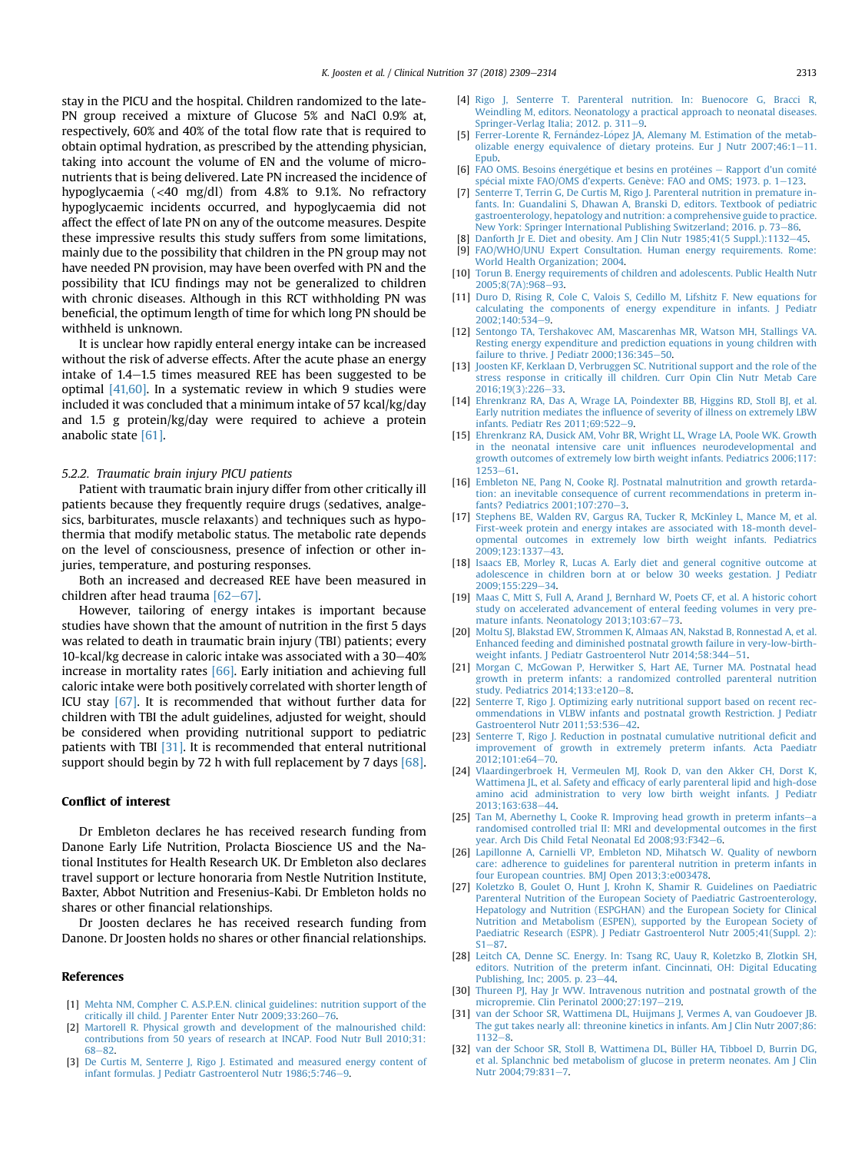<span id="page-4-0"></span>stay in the PICU and the hospital. Children randomized to the late-PN group received a mixture of Glucose 5% and NaCl 0.9% at, respectively, 60% and 40% of the total flow rate that is required to obtain optimal hydration, as prescribed by the attending physician, taking into account the volume of EN and the volume of micronutrients that is being delivered. Late PN increased the incidence of hypoglycaemia (<40 mg/dl) from 4.8% to 9.1%. No refractory hypoglycaemic incidents occurred, and hypoglycaemia did not affect the effect of late PN on any of the outcome measures. Despite these impressive results this study suffers from some limitations, mainly due to the possibility that children in the PN group may not have needed PN provision, may have been overfed with PN and the possibility that ICU findings may not be generalized to children with chronic diseases. Although in this RCT withholding PN was beneficial, the optimum length of time for which long PN should be withheld is unknown.

It is unclear how rapidly enteral energy intake can be increased without the risk of adverse effects. After the acute phase an energy intake of  $1.4-1.5$  times measured REE has been suggested to be optimal [\[41,60\].](#page-5-0) In a systematic review in which 9 studies were included it was concluded that a minimum intake of 57 kcal/kg/day and 1.5 g protein/kg/day were required to achieve a protein anabolic state [\[61\]](#page-5-0).

## 5.2.2. Traumatic brain injury PICU patients

Patient with traumatic brain injury differ from other critically ill patients because they frequently require drugs (sedatives, analgesics, barbiturates, muscle relaxants) and techniques such as hypothermia that modify metabolic status. The metabolic rate depends on the level of consciousness, presence of infection or other injuries, temperature, and posturing responses.

Both an increased and decreased REE have been measured in children after head trauma  $[62-67]$  $[62-67]$ .

However, tailoring of energy intakes is important because studies have shown that the amount of nutrition in the first 5 days was related to death in traumatic brain injury (TBI) patients; every 10-kcal/kg decrease in caloric intake was associated with a  $30-40\%$ increase in mortality rates [\[66\]](#page-5-0). Early initiation and achieving full caloric intake were both positively correlated with shorter length of ICU stay [\[67\]](#page-5-0). It is recommended that without further data for children with TBI the adult guidelines, adjusted for weight, should be considered when providing nutritional support to pediatric patients with TBI [31]. It is recommended that enteral nutritional support should begin by 72 h with full replacement by 7 days [\[68\].](#page-5-0)

## Conflict of interest

Dr Embleton declares he has received research funding from Danone Early Life Nutrition, Prolacta Bioscience US and the National Institutes for Health Research UK. Dr Embleton also declares travel support or lecture honoraria from Nestle Nutrition Institute, Baxter, Abbot Nutrition and Fresenius-Kabi. Dr Embleton holds no shares or other financial relationships.

Dr Joosten declares he has received research funding from Danone. Dr Joosten holds no shares or other financial relationships.

### References

- [1] [Mehta NM, Compher C. A.S.P.E.N. clinical guidelines: nutrition support of the](http://refhub.elsevier.com/S0261-5614(18)31163-4/sref1) [critically ill child. J Parenter Enter Nutr 2009;33:260](http://refhub.elsevier.com/S0261-5614(18)31163-4/sref1)-[76](http://refhub.elsevier.com/S0261-5614(18)31163-4/sref1).
- [2] [Martorell R. Physical growth and development of the malnourished child:](http://refhub.elsevier.com/S0261-5614(18)31163-4/sref2) [contributions from 50 years of research at INCAP. Food Nutr Bull 2010;31:](http://refhub.elsevier.com/S0261-5614(18)31163-4/sref2) [68](http://refhub.elsevier.com/S0261-5614(18)31163-4/sref2)e[82.](http://refhub.elsevier.com/S0261-5614(18)31163-4/sref2)
- [3] [De Curtis M, Senterre J, Rigo J. Estimated and measured energy content of](http://refhub.elsevier.com/S0261-5614(18)31163-4/sref3) [infant formulas. J Pediatr Gastroenterol Nutr 1986;5:746](http://refhub.elsevier.com/S0261-5614(18)31163-4/sref3)-[9](http://refhub.elsevier.com/S0261-5614(18)31163-4/sref3).
- [4] [Rigo J, Senterre T. Parenteral nutrition. In: Buenocore G, Bracci R,](http://refhub.elsevier.com/S0261-5614(18)31163-4/sref4) [Weindling M, editors. Neonatology a practical approach to neonatal diseases.](http://refhub.elsevier.com/S0261-5614(18)31163-4/sref4) Springer-Verlag Italia:  $2012$ . p.  $311-9$ .
- [5] [Ferrer-Lorente R, Fern](http://refhub.elsevier.com/S0261-5614(18)31163-4/sref5)á[ndez-L](http://refhub.elsevier.com/S0261-5614(18)31163-4/sref5)ó[pez JA, Alemany M. Estimation of the metab](http://refhub.elsevier.com/S0261-5614(18)31163-4/sref5) [olizable energy equivalence of dietary proteins. Eur J Nutr 2007;46:1](http://refhub.elsevier.com/S0261-5614(18)31163-4/sref5)-[11.](http://refhub.elsevier.com/S0261-5614(18)31163-4/sref5) [Epub.](http://refhub.elsevier.com/S0261-5614(18)31163-4/sref5)
- [6] [FAO OMS. Besoins](http://refhub.elsevier.com/S0261-5614(18)31163-4/sref6) énergé[tique et besins en prot](http://refhub.elsevier.com/S0261-5614(18)31163-4/sref6)éines [Rapport d'un comit](http://refhub.elsevier.com/S0261-5614(18)31163-4/sref6)é [sp](http://refhub.elsevier.com/S0261-5614(18)31163-4/sref6)é[cial mixte FAO/OMS d'experts. Gen](http://refhub.elsevier.com/S0261-5614(18)31163-4/sref6)ève: FAO and OMS; 1973. p.  $1-123$  $1-123$ .
- [7] Senterre T, Terrin G, De Curtis M, Rigo J, Parenteral nutrition in premature in[fants. In: Guandalini S, Dhawan A, Branski D, editors. Textbook of pediatric](http://refhub.elsevier.com/S0261-5614(18)31163-4/sref7) [gastroenterology, hepatology and nutrition: a comprehensive guide to practice.](http://refhub.elsevier.com/S0261-5614(18)31163-4/sref7) [New York: Springer International Publishing Switzerland; 2016. p. 73](http://refhub.elsevier.com/S0261-5614(18)31163-4/sref7)–[86](http://refhub.elsevier.com/S0261-5614(18)31163-4/sref7).
- [8] Danforth Ir E. Diet and obesity. Am I Clin Nutr  $1985:41(5 \text{ SunDL}):1132-45$  $1985:41(5 \text{ SunDL}):1132-45$ . [9] [FAO/WHO/UNU Expert Consultation. Human energy requirements. Rome:](http://refhub.elsevier.com/S0261-5614(18)31163-4/sref9) [World Health Organization; 2004.](http://refhub.elsevier.com/S0261-5614(18)31163-4/sref9)
- [10] [Torun B. Energy requirements of children and adolescents. Public Health Nutr](http://refhub.elsevier.com/S0261-5614(18)31163-4/sref10)  $2005:8(7A):968-93$  $2005:8(7A):968-93$
- [11] [Duro D, Rising R, Cole C, Valois S, Cedillo M, Lifshitz F. New equations for](http://refhub.elsevier.com/S0261-5614(18)31163-4/sref11) [calculating the components of energy expenditure in infants. J Pediatr](http://refhub.elsevier.com/S0261-5614(18)31163-4/sref11) [2002;140:534](http://refhub.elsevier.com/S0261-5614(18)31163-4/sref11)-[9](http://refhub.elsevier.com/S0261-5614(18)31163-4/sref11).
- [12] [Sentongo TA, Tershakovec AM, Mascarenhas MR, Watson MH, Stallings VA.](http://refhub.elsevier.com/S0261-5614(18)31163-4/sref12) [Resting energy expenditure and prediction equations in young children with](http://refhub.elsevier.com/S0261-5614(18)31163-4/sref12) failure to thrive. J Pediatr  $2000:136:345-50$ .
- [13] [Joosten KF, Kerklaan D, Verbruggen SC. Nutritional support and the role of the](http://refhub.elsevier.com/S0261-5614(18)31163-4/sref13) [stress response in critically ill children. Curr Opin Clin Nutr Metab Care](http://refhub.elsevier.com/S0261-5614(18)31163-4/sref13)  $2016:19(3):226-33.$  $2016:19(3):226-33.$
- [14] [Ehrenkranz RA, Das A, Wrage LA, Poindexter BB, Higgins RD, Stoll BJ, et al.](http://refhub.elsevier.com/S0261-5614(18)31163-4/sref14) Early nutrition mediates the infl[uence of severity of illness on extremely LBW](http://refhub.elsevier.com/S0261-5614(18)31163-4/sref14) infants. Pediatr Res  $2011:69:522-9$  $2011:69:522-9$  $2011:69:522-9$ .
- [15] [Ehrenkranz RA, Dusick AM, Vohr BR, Wright LL, Wrage LA, Poole WK. Growth](http://refhub.elsevier.com/S0261-5614(18)31163-4/sref15) [in the neonatal intensive care unit in](http://refhub.elsevier.com/S0261-5614(18)31163-4/sref15)fluences neurodevelopmental and [growth outcomes of extremely low birth weight infants. Pediatrics 2006;117:](http://refhub.elsevier.com/S0261-5614(18)31163-4/sref15)  $1253 - 61$  $1253 - 61$
- [16] [Embleton NE, Pang N, Cooke RJ. Postnatal malnutrition and growth retarda](http://refhub.elsevier.com/S0261-5614(18)31163-4/sref16)[tion: an inevitable consequence of current recommendations in preterm in](http://refhub.elsevier.com/S0261-5614(18)31163-4/sref16)[fants? Pediatrics 2001;107:270](http://refhub.elsevier.com/S0261-5614(18)31163-4/sref16)-[3](http://refhub.elsevier.com/S0261-5614(18)31163-4/sref16).
- [17] [Stephens BE, Walden RV, Gargus RA, Tucker R, McKinley L, Mance M, et al.](http://refhub.elsevier.com/S0261-5614(18)31163-4/sref17) [First-week protein and energy intakes are associated with 18-month devel](http://refhub.elsevier.com/S0261-5614(18)31163-4/sref17)[opmental outcomes in extremely low birth weight infants. Pediatrics](http://refhub.elsevier.com/S0261-5614(18)31163-4/sref17) 2009:123:1337-[43.](http://refhub.elsevier.com/S0261-5614(18)31163-4/sref17)
- [18] [Isaacs EB, Morley R, Lucas A. Early diet and general cognitive outcome at](http://refhub.elsevier.com/S0261-5614(18)31163-4/sref18) [adolescence in children born at or below 30 weeks gestation. J Pediatr](http://refhub.elsevier.com/S0261-5614(18)31163-4/sref18) 2009:155:229-[34.](http://refhub.elsevier.com/S0261-5614(18)31163-4/sref18)
- [19] [Maas C, Mitt S, Full A, Arand J, Bernhard W, Poets CF, et al. A historic cohort](http://refhub.elsevier.com/S0261-5614(18)31163-4/sref19) [study on accelerated advancement of enteral feeding volumes in very pre](http://refhub.elsevier.com/S0261-5614(18)31163-4/sref19)[mature infants. Neonatology 2013;103:67](http://refhub.elsevier.com/S0261-5614(18)31163-4/sref19)-[73](http://refhub.elsevier.com/S0261-5614(18)31163-4/sref19).
- [20] [Moltu SJ, Blakstad EW, Strommen K, Almaas AN, Nakstad B, Ronnestad A, et al.](http://refhub.elsevier.com/S0261-5614(18)31163-4/sref20) [Enhanced feeding and diminished postnatal growth failure in very-low-birth](http://refhub.elsevier.com/S0261-5614(18)31163-4/sref20)[weight infants. J Pediatr Gastroenterol Nutr 2014;58:344](http://refhub.elsevier.com/S0261-5614(18)31163-4/sref20)-[51.](http://refhub.elsevier.com/S0261-5614(18)31163-4/sref20)
- [21] [Morgan C, McGowan P, Herwitker S, Hart AE, Turner MA. Postnatal head](http://refhub.elsevier.com/S0261-5614(18)31163-4/sref21) [growth in preterm infants: a randomized controlled parenteral nutrition](http://refhub.elsevier.com/S0261-5614(18)31163-4/sref21) study. Pediatrics  $2014:133:$ e $120-8$ .
- [22] [Senterre T, Rigo J. Optimizing early nutritional support based on recent rec](http://refhub.elsevier.com/S0261-5614(18)31163-4/sref22)[ommendations in VLBW infants and postnatal growth Restriction. J Pediatr](http://refhub.elsevier.com/S0261-5614(18)31163-4/sref22) Gastroenterol Nutr 2011:53:536-[42.](http://refhub.elsevier.com/S0261-5614(18)31163-4/sref22)
- [23] [Senterre T, Rigo J. Reduction in postnatal cumulative nutritional de](http://refhub.elsevier.com/S0261-5614(18)31163-4/sref23)ficit and [improvement of growth in extremely preterm infants. Acta Paediatr](http://refhub.elsevier.com/S0261-5614(18)31163-4/sref23) [2012;101:e64](http://refhub.elsevier.com/S0261-5614(18)31163-4/sref23)-[70.](http://refhub.elsevier.com/S0261-5614(18)31163-4/sref23)
- [24] [Vlaardingerbroek H, Vermeulen MJ, Rook D, van den Akker CH, Dorst K,](http://refhub.elsevier.com/S0261-5614(18)31163-4/sref24) Wattimena JL, et al. Safety and effi[cacy of early parenteral lipid and high-dose](http://refhub.elsevier.com/S0261-5614(18)31163-4/sref24) [amino acid administration to very low birth weight infants. J Pediatr](http://refhub.elsevier.com/S0261-5614(18)31163-4/sref24) 2013:163:638-[44.](http://refhub.elsevier.com/S0261-5614(18)31163-4/sref24)
- [25] [Tan M, Abernethy L, Cooke R. Improving head growth in preterm infants](http://refhub.elsevier.com/S0261-5614(18)31163-4/sref25)-[a](http://refhub.elsevier.com/S0261-5614(18)31163-4/sref25) [randomised controlled trial II: MRI and developmental outcomes in the](http://refhub.elsevier.com/S0261-5614(18)31163-4/sref25) first [year. Arch Dis Child Fetal Neonatal Ed 2008;93:F342](http://refhub.elsevier.com/S0261-5614(18)31163-4/sref25)-[6](http://refhub.elsevier.com/S0261-5614(18)31163-4/sref25).
- [26] [Lapillonne A, Carnielli VP, Embleton ND, Mihatsch W. Quality of newborn](http://refhub.elsevier.com/S0261-5614(18)31163-4/sref26) [care: adherence to guidelines for parenteral nutrition in preterm infants in](http://refhub.elsevier.com/S0261-5614(18)31163-4/sref26) [four European countries. BMJ Open 2013;3:e003478.](http://refhub.elsevier.com/S0261-5614(18)31163-4/sref26)
- [27] [Koletzko B, Goulet O, Hunt J, Krohn K, Shamir R. Guidelines on Paediatric](http://refhub.elsevier.com/S0261-5614(18)31163-4/sref27) [Parenteral Nutrition of the European Society of Paediatric Gastroenterology,](http://refhub.elsevier.com/S0261-5614(18)31163-4/sref27) [Hepatology and Nutrition \(ESPGHAN\) and the European Society for Clinical](http://refhub.elsevier.com/S0261-5614(18)31163-4/sref27) [Nutrition and Metabolism \(ESPEN\), supported by the European Society of](http://refhub.elsevier.com/S0261-5614(18)31163-4/sref27) [Paediatric Research \(ESPR\). J Pediatr Gastroenterol Nutr 2005;41\(Suppl. 2\):](http://refhub.elsevier.com/S0261-5614(18)31163-4/sref27)  $S1 - 87$  $S1 - 87$ .
- [28] [Leitch CA, Denne SC. Energy. In: Tsang RC, Uauy R, Koletzko B, Zlotkin SH,](http://refhub.elsevier.com/S0261-5614(18)31163-4/sref28) [editors. Nutrition of the preterm infant. Cincinnati, OH: Digital Educating](http://refhub.elsevier.com/S0261-5614(18)31163-4/sref28) Publishing, Inc; 2005. p.  $2\overline{3} - 44$ .
- [30] [Thureen PJ, Hay Jr WW. Intravenous nutrition and postnatal growth of the](http://refhub.elsevier.com/S0261-5614(18)31163-4/sref30) [micropremie. Clin Perinatol 2000;27:197](http://refhub.elsevier.com/S0261-5614(18)31163-4/sref30)-[219](http://refhub.elsevier.com/S0261-5614(18)31163-4/sref30).
- [31] [van der Schoor SR, Wattimena DL, Huijmans J, Vermes A, van Goudoever JB.](http://refhub.elsevier.com/S0261-5614(18)31163-4/sref31) [The gut takes nearly all: threonine kinetics in infants. Am J Clin Nutr 2007;86:](http://refhub.elsevier.com/S0261-5614(18)31163-4/sref31)  $1132 - 8.$  $1132 - 8.$  $1132 - 8.$
- [32] [van der Schoor SR, Stoll B, Wattimena DL, Büller HA, Tibboel D, Burrin DG,](http://refhub.elsevier.com/S0261-5614(18)31163-4/sref32) [et al. Splanchnic bed metabolism of glucose in preterm neonates. Am J Clin](http://refhub.elsevier.com/S0261-5614(18)31163-4/sref32) [Nutr 2004;79:831](http://refhub.elsevier.com/S0261-5614(18)31163-4/sref32)-[7](http://refhub.elsevier.com/S0261-5614(18)31163-4/sref32).